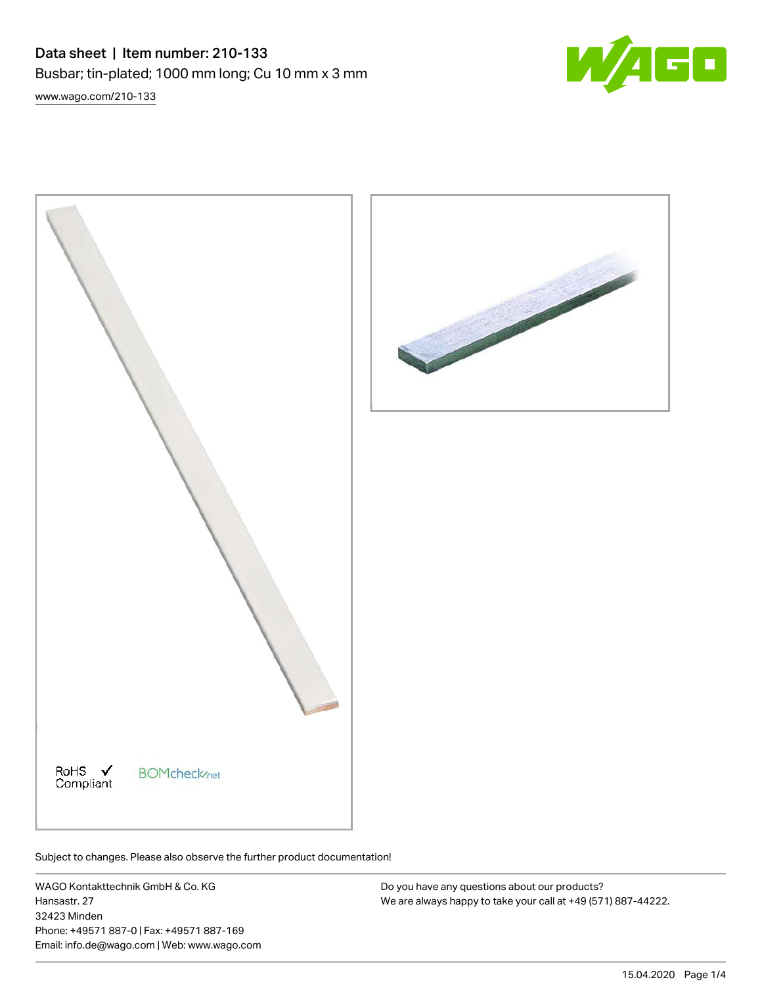Data sheet | Item number: 210-133 Busbar; tin-plated; 1000 mm long; Cu 10 mm x 3 mm [www.wago.com/210-133](http://www.wago.com/210-133)







WAGO Kontakttechnik GmbH & Co. KG Hansastr. 27 32423 Minden Phone: +49571 887-0 | Fax: +49571 887-169 Email: info.de@wago.com | Web: www.wago.com

Do you have any questions about our products? We are always happy to take your call at +49 (571) 887-44222.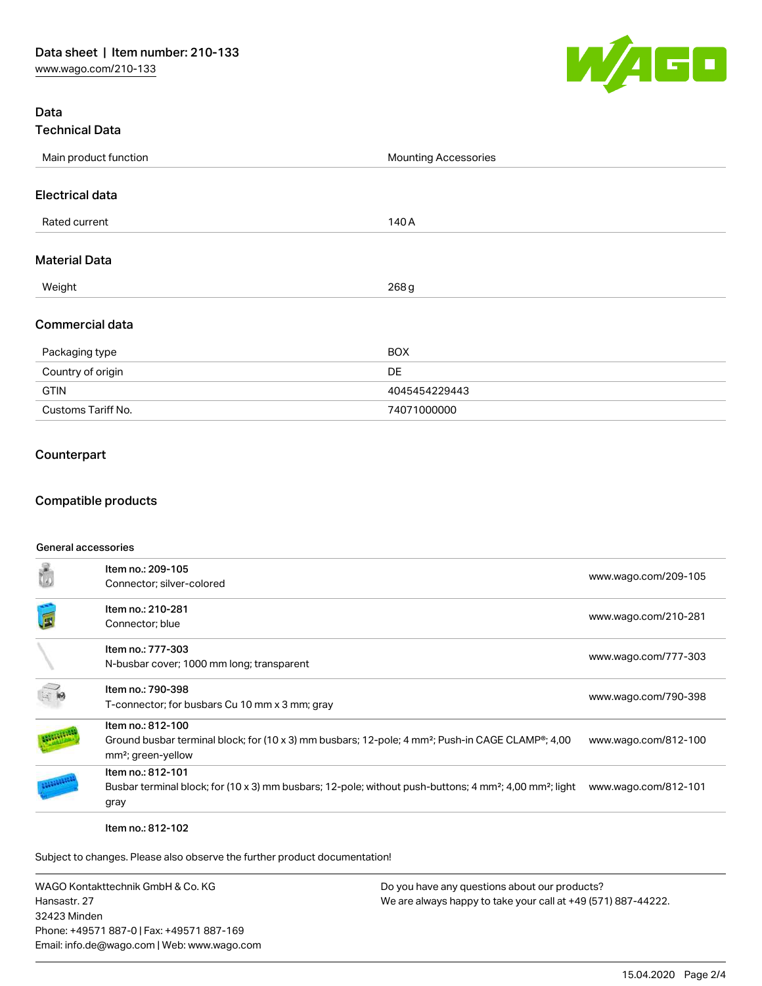

## Data Technical Data

| Main product function  | <b>Mounting Accessories</b> |  |  |
|------------------------|-----------------------------|--|--|
|                        |                             |  |  |
| <b>Electrical data</b> |                             |  |  |
| Rated current          | 140 A                       |  |  |
| <b>Material Data</b>   |                             |  |  |
|                        |                             |  |  |
| Weight                 | 268 g                       |  |  |
| <b>Commercial data</b> |                             |  |  |
| Packaging type         | <b>BOX</b>                  |  |  |
| Country of origin      | DE                          |  |  |
| <b>GTIN</b>            | 4045454229443               |  |  |
| Customs Tariff No.     | 74071000000                 |  |  |

## Counterpart

## Compatible products

#### General accessories

| ť | Item no.: 209-105<br>Connector; silver-colored                                                                                                                                    | www.wago.com/209-105 |
|---|-----------------------------------------------------------------------------------------------------------------------------------------------------------------------------------|----------------------|
| é | Item no.: 210-281<br>Connector; blue                                                                                                                                              | www.wago.com/210-281 |
|   | Item no.: 777-303<br>N-busbar cover; 1000 mm long; transparent                                                                                                                    | www.wago.com/777-303 |
|   | Item no.: 790-398<br>T-connector; for busbars Cu 10 mm x 3 mm; gray                                                                                                               | www.wago.com/790-398 |
|   | Item no.: 812-100<br>Ground busbar terminal block; for (10 x 3) mm busbars; 12-pole; 4 mm <sup>2</sup> ; Push-in CAGE CLAMP <sup>®</sup> ; 4,00<br>mm <sup>2</sup> ; green-yellow | www.wago.com/812-100 |
|   | Item no.: 812-101<br>Busbar terminal block; for (10 x 3) mm busbars; 12-pole; without push-buttons; 4 mm <sup>2</sup> ; 4,00 mm <sup>2</sup> ; light<br>gray                      | www.wago.com/812-101 |

Item no.: 812-102

Subject to changes. Please also observe the further product documentation!

WAGO Kontakttechnik GmbH & Co. KG Hansastr. 27 32423 Minden Phone: +49571 887-0 | Fax: +49571 887-169 Email: info.de@wago.com | Web: www.wago.com

Do you have any questions about our products? We are always happy to take your call at +49 (571) 887-44222.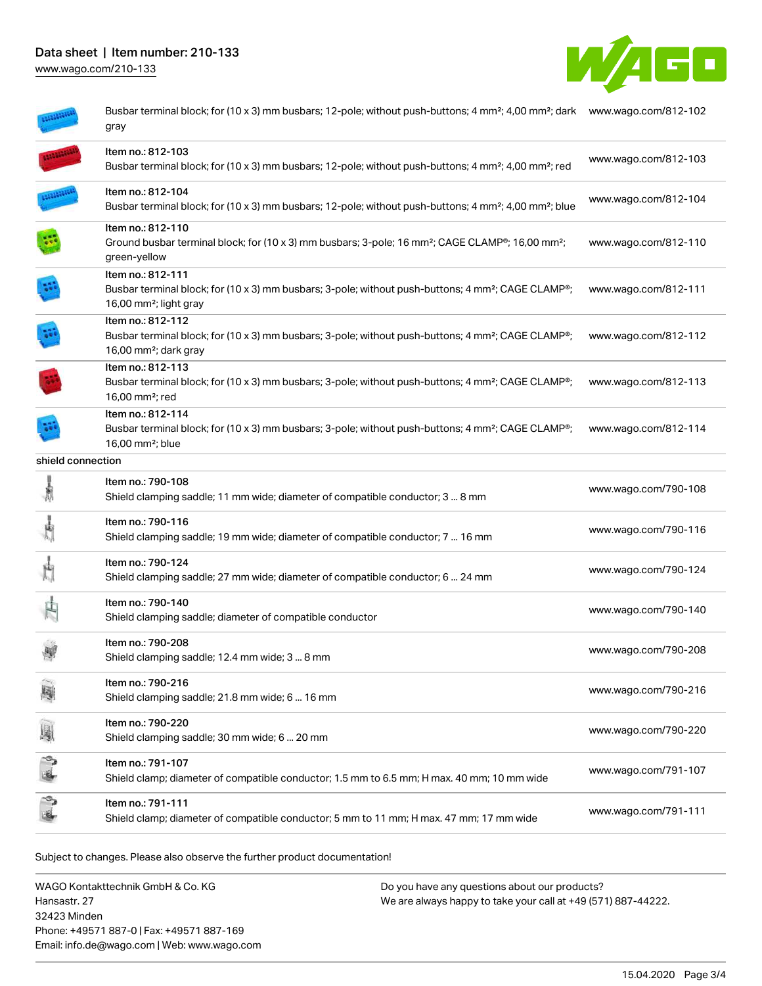# Data sheet | Item number: 210-133

[www.wago.com/210-133](http://www.wago.com/210-133)



|                   | Busbar terminal block; for (10 x 3) mm busbars; 12-pole; without push-buttons; 4 mm <sup>2</sup> ; 4,00 mm <sup>2</sup> ; dark www.wago.com/812-102<br>gray                            |                      |
|-------------------|----------------------------------------------------------------------------------------------------------------------------------------------------------------------------------------|----------------------|
|                   | Item no.: 812-103<br>Busbar terminal block; for (10 x 3) mm busbars; 12-pole; without push-buttons; 4 mm <sup>2</sup> ; 4,00 mm <sup>2</sup> ; red                                     | www.wago.com/812-103 |
|                   | Item no.: 812-104<br>Busbar terminal block; for (10 x 3) mm busbars; 12-pole; without push-buttons; 4 mm <sup>2</sup> ; 4,00 mm <sup>2</sup> ; blue                                    | www.wago.com/812-104 |
|                   | Item no.: 812-110<br>Ground busbar terminal block; for (10 x 3) mm busbars; 3-pole; 16 mm <sup>2</sup> ; CAGE CLAMP <sup>®</sup> ; 16,00 mm <sup>2</sup> ;<br>green-yellow             | www.wago.com/812-110 |
|                   | Item no.: 812-111<br>Busbar terminal block; for (10 x 3) mm busbars; 3-pole; without push-buttons; 4 mm <sup>2</sup> ; CAGE CLAMP <sup>®</sup> ;<br>16,00 mm <sup>2</sup> ; light gray | www.wago.com/812-111 |
|                   | Item no.: 812-112<br>Busbar terminal block; for (10 x 3) mm busbars; 3-pole; without push-buttons; 4 mm <sup>2</sup> ; CAGE CLAMP <sup>®</sup> ;<br>16,00 mm <sup>2</sup> ; dark gray  | www.wago.com/812-112 |
|                   | Item no.: 812-113<br>Busbar terminal block; for (10 x 3) mm busbars; 3-pole; without push-buttons; 4 mm <sup>2</sup> ; CAGE CLAMP <sup>®</sup> ;<br>16,00 mm <sup>2</sup> ; red        | www.wago.com/812-113 |
|                   | Item no.: 812-114<br>Busbar terminal block; for (10 x 3) mm busbars; 3-pole; without push-buttons; 4 mm <sup>2</sup> ; CAGE CLAMP <sup>®</sup> ;<br>16,00 mm <sup>2</sup> ; blue       | www.wago.com/812-114 |
| shield connection |                                                                                                                                                                                        |                      |
| 扇                 | Item no.: 790-108<br>Shield clamping saddle; 11 mm wide; diameter of compatible conductor; 3  8 mm                                                                                     | www.wago.com/790-108 |
|                   | Item no.: 790-116<br>Shield clamping saddle; 19 mm wide; diameter of compatible conductor; 7  16 mm                                                                                    | www.wago.com/790-116 |
|                   | Item no.: 790-124<br>Shield clamping saddle; 27 mm wide; diameter of compatible conductor; 6  24 mm                                                                                    | www.wago.com/790-124 |
|                   | Item no.: 790-140<br>Shield clamping saddle; diameter of compatible conductor                                                                                                          | www.wago.com/790-140 |
|                   | Item no.: 790-208<br>Shield clamping saddle; 12.4 mm wide; 3  8 mm                                                                                                                     | www.wago.com/790-208 |
|                   | Item no.: 790-216<br>Shield clamping saddle; 21.8 mm wide; 6  16 mm                                                                                                                    | www.wago.com/790-216 |
|                   | Item no.: 790-220<br>Shield clamping saddle; 30 mm wide; 6  20 mm                                                                                                                      | www.wago.com/790-220 |
|                   | Item no.: 791-107<br>Shield clamp; diameter of compatible conductor; 1.5 mm to 6.5 mm; H max. 40 mm; 10 mm wide                                                                        | www.wago.com/791-107 |
|                   | Item no.: 791-111<br>Shield clamp; diameter of compatible conductor; 5 mm to 11 mm; H max. 47 mm; 17 mm wide                                                                           | www.wago.com/791-111 |
|                   |                                                                                                                                                                                        |                      |

Subject to changes. Please also observe the further product documentation!

WAGO Kontakttechnik GmbH & Co. KG Hansastr. 27 32423 Minden Phone: +49571 887-0 | Fax: +49571 887-169 Email: info.de@wago.com | Web: www.wago.com

Do you have any questions about our products? We are always happy to take your call at +49 (571) 887-44222.